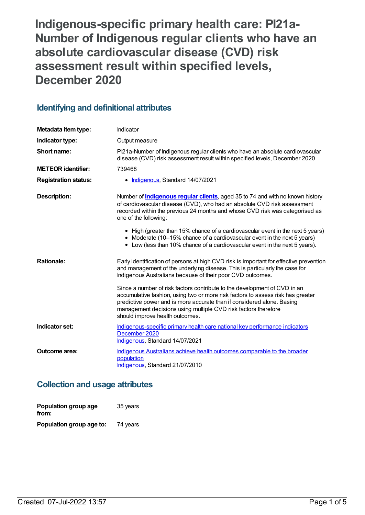**Indigenous-specific primary health care: PI21a-Number of Indigenous regular clients who have an absolute cardiovascular disease (CVD) risk assessment result within specified levels, December 2020**

# **Identifying and definitional attributes**

| Metadata item type:         | Indicator                                                                                                                                                                                                                                                                                                                                   |  |
|-----------------------------|---------------------------------------------------------------------------------------------------------------------------------------------------------------------------------------------------------------------------------------------------------------------------------------------------------------------------------------------|--|
| Indicator type:             | Output measure                                                                                                                                                                                                                                                                                                                              |  |
| Short name:                 | Pl21a-Number of Indigenous regular clients who have an absolute cardiovascular<br>disease (CVD) risk assessment result within specified levels, December 2020                                                                                                                                                                               |  |
| <b>METEOR identifier:</b>   | 739468                                                                                                                                                                                                                                                                                                                                      |  |
| <b>Registration status:</b> | • Indigenous, Standard 14/07/2021                                                                                                                                                                                                                                                                                                           |  |
| <b>Description:</b>         | Number of <b>Indigenous regular clients</b> , aged 35 to 74 and with no known history<br>of cardiovascular disease (CVD), who had an absolute CVD risk assessment<br>recorded within the previous 24 months and whose CVD risk was categorised as<br>one of the following:                                                                  |  |
|                             | • High (greater than 15% chance of a cardiovascular event in the next 5 years)<br>• Moderate (10-15% chance of a cardiovascular event in the next 5 years)<br>• Low (less than 10% chance of a cardiovascular event in the next 5 years).                                                                                                   |  |
| <b>Rationale:</b>           | Early identification of persons at high CVD risk is important for effective prevention<br>and management of the underlying disease. This is particularly the case for<br>Indigenous Australians because of their poor CVD outcomes.                                                                                                         |  |
|                             | Since a number of risk factors contribute to the development of CVD in an<br>accumulative fashion, using two or more risk factors to assess risk has greater<br>predictive power and is more accurate than if considered alone. Basing<br>management decisions using multiple CVD risk factors therefore<br>should improve health outcomes. |  |
| Indicator set:              | Indigenous-specific primary health care national key performance indicators<br>December 2020<br>Indigenous, Standard 14/07/2021                                                                                                                                                                                                             |  |
| Outcome area:               | Indigenous Australians achieve health outcomes comparable to the broader<br>population<br>Indigenous, Standard 21/07/2010                                                                                                                                                                                                                   |  |

# **Collection and usage attributes**

| Population group age<br>from: | 35 years |
|-------------------------------|----------|
| Population group age to:      | 74 years |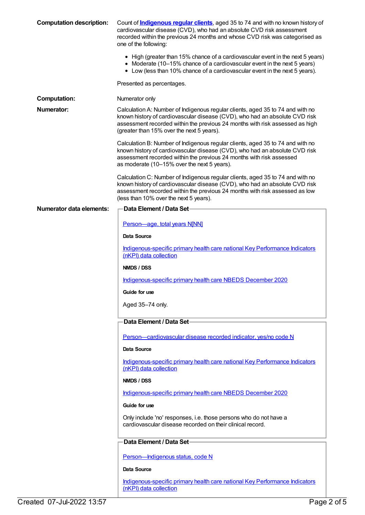| <b>Computation description:</b> | Count of <b>Indigenous regular clients</b> , aged 35 to 74 and with no known history of<br>cardiovascular disease (CVD), who had an absolute CVD risk assessment<br>recorded within the previous 24 months and whose CVD risk was categorised as<br>one of the following:                  |
|---------------------------------|--------------------------------------------------------------------------------------------------------------------------------------------------------------------------------------------------------------------------------------------------------------------------------------------|
|                                 | • High (greater than 15% chance of a cardiovascular event in the next 5 years)<br>• Moderate (10–15% chance of a cardiovascular event in the next 5 years)<br>• Low (less than 10% chance of a cardiovascular event in the next 5 years).                                                  |
|                                 | Presented as percentages.                                                                                                                                                                                                                                                                  |
| <b>Computation:</b>             | Numerator only                                                                                                                                                                                                                                                                             |
| <b>Numerator:</b>               | Calculation A: Number of Indigenous regular clients, aged 35 to 74 and with no<br>known history of cardiovascular disease (CVD), who had an absolute CVD risk<br>assessment recorded within the previous 24 months with risk assessed as high<br>(greater than 15% over the next 5 years). |
|                                 | Calculation B: Number of Indigenous regular clients, aged 35 to 74 and with no<br>known history of cardiovascular disease (CVD), who had an absolute CVD risk<br>assessment recorded within the previous 24 months with risk assessed<br>as moderate (10-15% over the next 5 years).       |
|                                 | Calculation C: Number of Indigenous regular clients, aged 35 to 74 and with no<br>known history of cardiovascular disease (CVD), who had an absolute CVD risk<br>assessment recorded within the previous 24 months with risk assessed as low<br>(less than 10% over the next 5 years).     |
| Numerator data elements:        | Data Element / Data Set-                                                                                                                                                                                                                                                                   |
|                                 | Person-age, total years N[NN]                                                                                                                                                                                                                                                              |
|                                 | Data Source                                                                                                                                                                                                                                                                                |
|                                 | Indigenous-specific primary health care national Key Performance Indicators<br>(nKPI) data collection                                                                                                                                                                                      |
|                                 | NMDS / DSS                                                                                                                                                                                                                                                                                 |
|                                 | Indigenous-specific primary health care NBEDS December 2020                                                                                                                                                                                                                                |
|                                 | Guide for use                                                                                                                                                                                                                                                                              |
|                                 | Aged 35-74 only.                                                                                                                                                                                                                                                                           |
|                                 | Data Element / Data Set-                                                                                                                                                                                                                                                                   |
|                                 | Person-cardiovascular disease recorded indicator, yes/no code N                                                                                                                                                                                                                            |
|                                 | Data Source                                                                                                                                                                                                                                                                                |
|                                 | Indigenous-specific primary health care national Key Performance Indicators<br>(nKPI) data collection                                                                                                                                                                                      |
|                                 | NMDS / DSS                                                                                                                                                                                                                                                                                 |
|                                 | Indigenous-specific primary health care NBEDS December 2020                                                                                                                                                                                                                                |
|                                 | Guide for use                                                                                                                                                                                                                                                                              |
|                                 | Only include 'no' responses, i.e. those persons who do not have a<br>cardiovascular disease recorded on their clinical record.                                                                                                                                                             |
|                                 | Data Element / Data Set-                                                                                                                                                                                                                                                                   |
|                                 | Person-Indigenous status, code N                                                                                                                                                                                                                                                           |
|                                 | Data Source                                                                                                                                                                                                                                                                                |
|                                 | Indigenous-specific primary health care national Key Performance Indicators<br>(nKPI) data collection                                                                                                                                                                                      |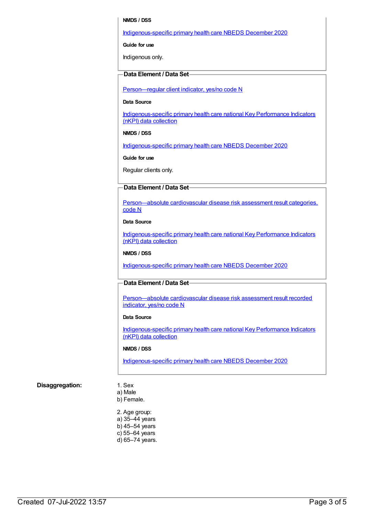#### **NMDS / DSS**

#### [Indigenous-specific](https://meteor.aihw.gov.au/content/738532) primary health care NBEDS December 2020

**Guide for use**

Indigenous only.

## **Data Element / Data Set**

Person-regular client indicator, yes/no code N

#### **Data Source**

[Indigenous-specific](https://meteor.aihw.gov.au/content/737914) primary health care national Key Performance Indicators (nKPI) data collection

#### **NMDS / DSS**

[Indigenous-specific](https://meteor.aihw.gov.au/content/738532) primary health care NBEDS December 2020

**Guide for use**

Regular clients only.

#### **Data Element / Data Set**

[Person—absolute](https://meteor.aihw.gov.au/content/699029) cardiovascular disease risk assessment result categories, code N

### **Data Source**

[Indigenous-specific](https://meteor.aihw.gov.au/content/737914) primary health care national Key Performance Indicators (nKPI) data collection

## **NMDS / DSS**

[Indigenous-specific](https://meteor.aihw.gov.au/content/738532) primary health care NBEDS December 2020

#### **Data Element / Data Set**

[Person—absolute](https://meteor.aihw.gov.au/content/699031) cardiovascular disease risk assessment result recorded indicator, yes/no code N

#### **Data Source**

[Indigenous-specific](https://meteor.aihw.gov.au/content/737914) primary health care national Key Performance Indicators (nKPI) data collection

#### **NMDS / DSS**

[Indigenous-specific](https://meteor.aihw.gov.au/content/738532) primary health care NBEDS December 2020

#### **Disaggregation:** 1. Sex

# a) Male

b) Female.

2. Age group: a) 35–44 years b) 45–54 years c) 55–64 years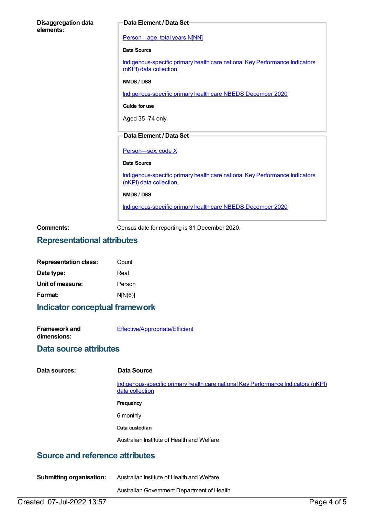| <b>Disaggregation data</b><br>elements: | Data Element / Data Set-                                                                              |
|-----------------------------------------|-------------------------------------------------------------------------------------------------------|
|                                         | Person-age, total years N[NN]                                                                         |
|                                         | Data Source                                                                                           |
|                                         | Indigenous-specific primary health care national Key Performance Indicators<br>(nKPI) data collection |
|                                         | NMDS / DSS                                                                                            |
|                                         | Indigenous-specific primary health care NBEDS December 2020                                           |
|                                         | Guide for use                                                                                         |
|                                         | Aged 35-74 only.                                                                                      |
|                                         | Data Element / Data Set-                                                                              |
|                                         |                                                                                                       |
|                                         | Person-sex, code X                                                                                    |
|                                         | <b>Data Source</b>                                                                                    |
|                                         | Indigenous-specific primary health care national Key Performance Indicators<br>(nKPI) data collection |
|                                         | NMDS / DSS                                                                                            |
|                                         | Indigenous-specific primary health care NBEDS December 2020                                           |
| Comments:                               | Census date for reporting is 31 December 2020.                                                        |

## **Representational attributes**

| <b>Representation class:</b> | Count   |
|------------------------------|---------|
| Data type:                   | Real    |
| Unit of measure:             | Person  |
| Format:                      | N[N(6)] |

## **Indicator conceptual framework**

| <b>Framework and</b> | Effective/Appropriate/Efficient |
|----------------------|---------------------------------|
| dimensions:          |                                 |

## **Data source attributes**

| Data sources: |  |
|---------------|--|
|---------------|--|

### **Data Source**

[Indigenous-specific](https://meteor.aihw.gov.au/content/737914) primary health care national Key Performance Indicators (nKPI) data collection

**Frequency**

6 monthly

## **Data custodian**

Australian Institute of Health and Welfare.

# **Source and reference attributes**

| <b>Submitting organisation:</b> | Australian Institute of Health and Welfare. |
|---------------------------------|---------------------------------------------|
|                                 |                                             |

AustralianGovernment Department of Health.